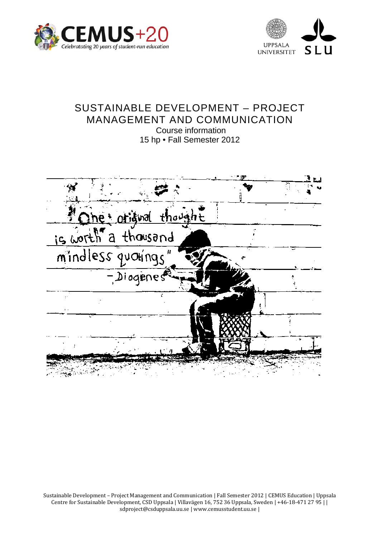



# SUSTAINABLE DEVELOPMENT – PROJECT MANAGEMENT AND COMMUNICATION Course information

15 hp • Fall Semester 2012



Sustainable Development – Project Management and Communication | Fall Semester 2012 | CEMUS Education | Uppsala Centre for Sustainable Development, CSD Uppsala | Villavägen 16, 752 36 Uppsala, Sweden | +46‐18‐471 27 95 | | sdproject@csduppsala.uu.se | www.cemusstudent.uu.se |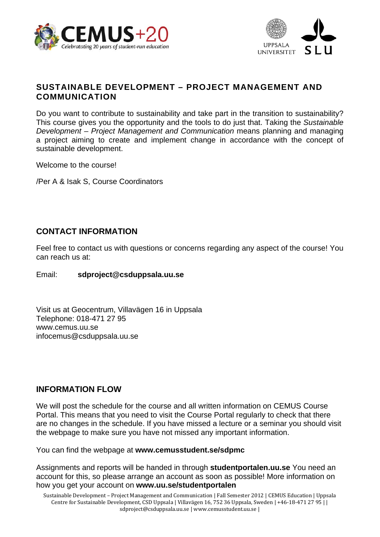



# **SUSTAINABLE DEVELOPMENT – PROJECT MANAGEMENT AND COMMUNICATION**

Do you want to contribute to sustainability and take part in the transition to sustainability? This course gives you the opportunity and the tools to do just that. Taking the *Sustainable Development – Project Management and Communication* means planning and managing a project aiming to create and implement change in accordance with the concept of sustainable development.

Welcome to the course!

/Per A & Isak S, Course Coordinators

# **CONTACT INFORMATION**

Feel free to contact us with questions or concerns regarding any aspect of the course! You can reach us at:

#### Email: **sdproject@csduppsala.uu.se**

Visit us at Geocentrum, Villavägen 16 in Uppsala Telephone: 018-471 27 95 www.cemus.uu.se infocemus@csduppsala.uu.se

## **INFORMATION FLOW**

We will post the schedule for the course and all written information on CEMUS Course Portal. This means that you need to visit the Course Portal regularly to check that there are no changes in the schedule. If you have missed a lecture or a seminar you should visit the webpage to make sure you have not missed any important information.

You can find the webpage at **www.cemusstudent.se/sdpmc**

Assignments and reports will be handed in through **studentportalen.uu.se** You need an account for this, so please arrange an account as soon as possible! More information on how you get your account on **www.uu.se/studentportalen**

Sustainable Development – Project Management and Communication | Fall Semester 2012 | CEMUS Education | Uppsala Centre for Sustainable Development, CSD Uppsala | Villavägen 16, 752 36 Uppsala, Sweden | +46‐18‐471 27 95 | | sdproject@csduppsala.uu.se | www.cemusstudent.uu.se |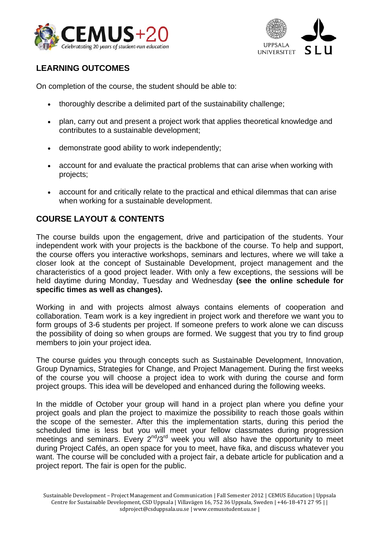



# **LEARNING OUTCOMES**

On completion of the course, the student should be able to:

- thoroughly describe a delimited part of the sustainability challenge;
- plan, carry out and present a project work that applies theoretical knowledge and contributes to a sustainable development;
- demonstrate good ability to work independently;
- account for and evaluate the practical problems that can arise when working with projects;
- account for and critically relate to the practical and ethical dilemmas that can arise when working for a sustainable development.

# **COURSE LAYOUT & CONTENTS**

The course builds upon the engagement, drive and participation of the students. Your independent work with your projects is the backbone of the course. To help and support, the course offers you interactive workshops, seminars and lectures, where we will take a closer look at the concept of Sustainable Development, project management and the characteristics of a good project leader. With only a few exceptions, the sessions will be held daytime during Monday, Tuesday and Wednesday **(see the online schedule for specific times as well as changes).** 

Working in and with projects almost always contains elements of cooperation and collaboration. Team work is a key ingredient in project work and therefore we want you to form groups of 3-6 students per project. If someone prefers to work alone we can discuss the possibility of doing so when groups are formed. We suggest that you try to find group members to join your project idea.

The course guides you through concepts such as Sustainable Development, Innovation, Group Dynamics, Strategies for Change, and Project Management. During the first weeks of the course you will choose a project idea to work with during the course and form project groups. This idea will be developed and enhanced during the following weeks.

In the middle of October your group will hand in a project plan where you define your project goals and plan the project to maximize the possibility to reach those goals within the scope of the semester. After this the implementation starts, during this period the scheduled time is less but you will meet your fellow classmates during progression meetings and seminars. Every 2<sup>nd</sup>/3<sup>rd</sup> week you will also have the opportunity to meet during Project Cafés, an open space for you to meet, have fika, and discuss whatever you want. The course will be concluded with a project fair, a debate article for publication and a project report. The fair is open for the public.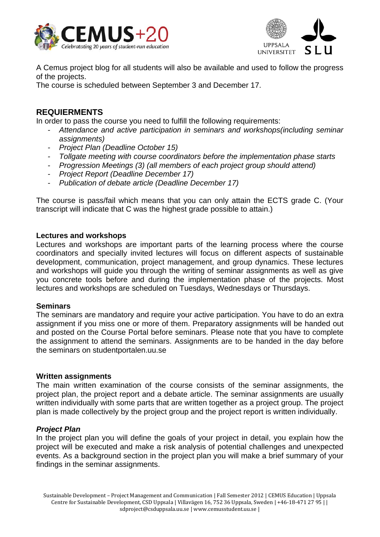



A Cemus project blog for all students will also be available and used to follow the progress of the projects.

The course is scheduled between September 3 and December 17.

### **REQUIERMENTS**

In order to pass the course you need to fulfill the following requirements:

- *Attendance and active participation in seminars and workshops(including seminar assignments)*
- *Project Plan (Deadline October 15)*
- *Tollgate meeting with course coordinators before the implementation phase starts*
- *Progression Meetings (3) (all members of each project group should attend)*
- *Project Report (Deadline December 17)*
- *Publication of debate article (Deadline December 17)*

The course is pass/fail which means that you can only attain the ECTS grade C. (Your transcript will indicate that C was the highest grade possible to attain.)

#### **Lectures and workshops**

Lectures and workshops are important parts of the learning process where the course coordinators and specially invited lectures will focus on different aspects of sustainable development, communication, project management, and group dynamics. These lectures and workshops will guide you through the writing of seminar assignments as well as give you concrete tools before and during the implementation phase of the projects. Most lectures and workshops are scheduled on Tuesdays, Wednesdays or Thursdays.

#### **Seminars**

The seminars are mandatory and require your active participation. You have to do an extra assignment if you miss one or more of them. Preparatory assignments will be handed out and posted on the Course Portal before seminars. Please note that you have to complete the assignment to attend the seminars. Assignments are to be handed in the day before the seminars on studentportalen.uu.se

#### **Written assignments**

The main written examination of the course consists of the seminar assignments, the project plan, the project report and a debate article. The seminar assignments are usually written individually with some parts that are written together as a project group. The project plan is made collectively by the project group and the project report is written individually.

#### *Project Plan*

In the project plan you will define the goals of your project in detail, you explain how the project will be executed and make a risk analysis of potential challenges and unexpected events. As a background section in the project plan you will make a brief summary of your findings in the seminar assignments.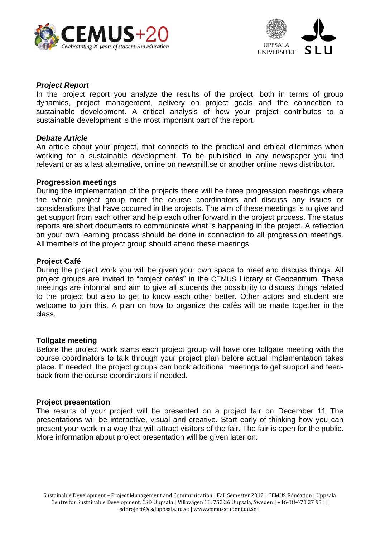



#### *Project Report*

In the project report you analyze the results of the project, both in terms of group dynamics, project management, delivery on project goals and the connection to sustainable development. A critical analysis of how your project contributes to a sustainable development is the most important part of the report.

#### *Debate Article*

An article about your project, that connects to the practical and ethical dilemmas when working for a sustainable development. To be published in any newspaper you find relevant or as a last alternative, online on newsmill.se or another online news distributor.

#### **Progression meetings**

During the implementation of the projects there will be three progression meetings where the whole project group meet the course coordinators and discuss any issues or considerations that have occurred in the projects. The aim of these meetings is to give and get support from each other and help each other forward in the project process. The status reports are short documents to communicate what is happening in the project. A reflection on your own learning process should be done in connection to all progression meetings. All members of the project group should attend these meetings.

#### **Project Café**

During the project work you will be given your own space to meet and discuss things. All project groups are invited to "project cafés" in the CEMUS Library at Geocentrum. These meetings are informal and aim to give all students the possibility to discuss things related to the project but also to get to know each other better. Other actors and student are welcome to join this. A plan on how to organize the cafés will be made together in the class.

#### **Tollgate meeting**

Before the project work starts each project group will have one tollgate meeting with the course coordinators to talk through your project plan before actual implementation takes place. If needed, the project groups can book additional meetings to get support and feedback from the course coordinators if needed.

#### **Project presentation**

The results of your project will be presented on a project fair on December 11 The presentations will be interactive, visual and creative. Start early of thinking how you can present your work in a way that will attract visitors of the fair. The fair is open for the public. More information about project presentation will be given later on.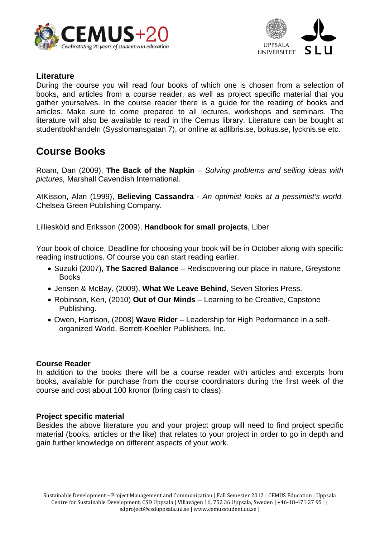



# **Literature**

During the course you will read four books of which one is chosen from a selection of books, and articles from a course reader, as well as project specific material that you gather yourselves. In the course reader there is a guide for the reading of books and articles. Make sure to come prepared to all lectures, workshops and seminars. The literature will also be available to read in the Cemus library. Literature can be bought at studentbokhandeln (Sysslomansgatan 7), or online at adlibris.se, bokus.se, lycknis.se etc.

# **Course Books**

Roam, Dan (2009), **The Back of the Napkin** *– Solving problems and selling ideas with pictures,* Marshall Cavendish International.

AtKisson, Alan (1999), **Believing Cassandra** *- An optimist looks at a pessimist's world,*  Chelsea Green Publishing Company*.* 

Lilliesköld and Eriksson (2009), **Handbook for small projects**, Liber

Your book of choice, Deadline for choosing your book will be in October along with specific reading instructions. Of course you can start reading earlier.

- Suzuki (2007), **The Sacred Balance** Rediscovering our place in nature, Greystone **Books**
- Jensen & McBay, (2009), **What We Leave Behind**, Seven Stories Press.
- Robinson, Ken, (2010) **Out of Our Minds** Learning to be Creative, Capstone Publishing.
- Owen, Harrison, (2008) **Wave Rider** Leadership for High Performance in a selforganized World, Berrett-Koehler Publishers, Inc.

#### **Course Reader**

In addition to the books there will be a course reader with articles and excerpts from books, available for purchase from the course coordinators during the first week of the course and cost about 100 kronor (bring cash to class).

#### **Project specific material**

Besides the above literature you and your project group will need to find project specific material (books, articles or the like) that relates to your project in order to go in depth and gain further knowledge on different aspects of your work.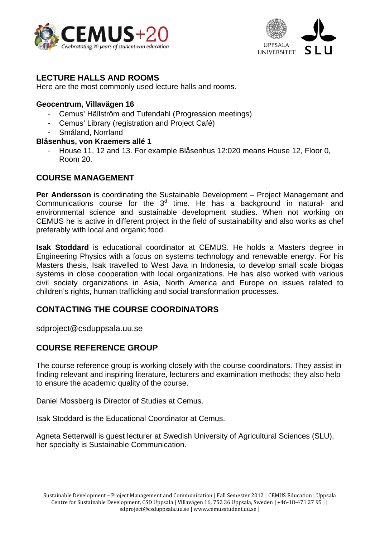



# **LECTURE HALLS AND ROOMS**

Here are the most commonly used lecture halls and rooms.

#### **Geocentrum, Villavägen 16**

- Cemus' Hällström and Tufendahl (Progression meetings)
- Cemus' Library (registration and Project Café)
- Småland, Norrland

### **Blåsenhus, von Kraemers allé 1**

- House 11, 12 and 13. For example Blåsenhus 12:020 means House 12, Floor 0, Room 20.

# **COURSE MANAGEMENT**

**Per Andersson** is coordinating the Sustainable Development – Project Management and Communications course for the  $3<sup>d</sup>$  time. He has a background in natural- and environmental science and sustainable development studies. When not working on CEMUS he is active in different project in the field of sustainability and also works as chef preferably with local and organic food.

**Isak Stoddard** is educational coordinator at CEMUS. He holds a Masters degree in Engineering Physics with a focus on systems technology and renewable energy. For his Masters thesis, Isak travelled to West Java in Indonesia, to develop small scale biogas systems in close cooperation with local organizations. He has also worked with various civil society organizations in Asia, North America and Europe on issues related to children's rights, human trafficking and social transformation processes.

# **CONTACTING THE COURSE COORDINATORS**

sdproject@csduppsala.uu.se

# **COURSE REFERENCE GROUP**

The course reference group is working closely with the course coordinators. They assist in finding relevant and inspiring literature, lecturers and examination methods; they also help to ensure the academic quality of the course.

Daniel Mossberg is Director of Studies at Cemus.

Isak Stoddard is the Educational Coordinator at Cemus.

Agneta Setterwall is guest lecturer at Swedish University of Agricultural Sciences (SLU), her specialty is Sustainable Communication.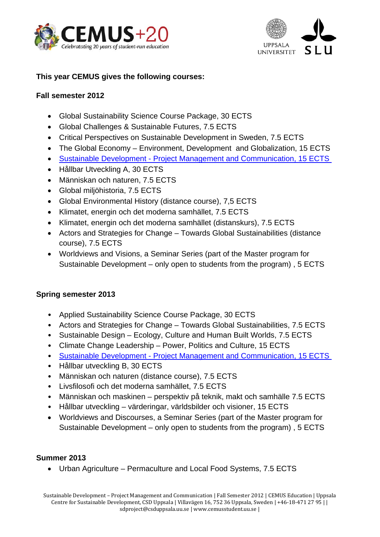



## **This year CEMUS gives the following courses:**

### **Fall semester 2012**

- Global Sustainability Science Course Package, 30 ECTS
- Global Challenges & Sustainable Futures, 7.5 ECTS
- Critical Perspectives on Sustainable Development in Sweden, 7.5 ECTS
- The Global Economy Environment, Development and Globalization, 15 ECTS
- Sustainable Development Project Management and Communication, 15 ECTS
- Hållbar Utveckling A, 30 ECTS
- Människan och naturen, 7.5 ECTS
- Global miljöhistoria, 7.5 ECTS
- Global Environmental History (distance course), 7,5 ECTS
- Klimatet, energin och det moderna samhället, 7.5 ECTS
- Klimatet, energin och det moderna samhället (distanskurs), 7.5 ECTS
- Actors and Strategies for Change Towards Global Sustainabilities (distance course), 7.5 ECTS
- Worldviews and Visions, a Seminar Series (part of the Master program for Sustainable Development – only open to students from the program) , 5 ECTS

## **Spring semester 2013**

- Applied Sustainability Science Course Package, 30 ECTS
- Actors and Strategies for Change Towards Global Sustainabilities, 7.5 ECTS
- Sustainable Design Ecology, Culture and Human Built Worlds, 7.5 ECTS
- Climate Change Leadership Power, Politics and Culture, 15 ECTS
- Sustainable Development Project Management and Communication, 15 ECTS
- Hållbar utveckling B, 30 ECTS
- Människan och naturen (distance course), 7.5 ECTS
- Livsfilosofi och det moderna samhället, 7.5 ECTS
- Människan och maskinen perspektiv på teknik, makt och samhälle 7.5 ECTS
- Hållbar utveckling värderingar, världsbilder och visioner, 15 ECTS
- Worldviews and Discourses, a Seminar Series (part of the Master program for Sustainable Development – only open to students from the program) , 5 ECTS

## **Summer 2013**

• Urban Agriculture – Permaculture and Local Food Systems, 7.5 ECTS